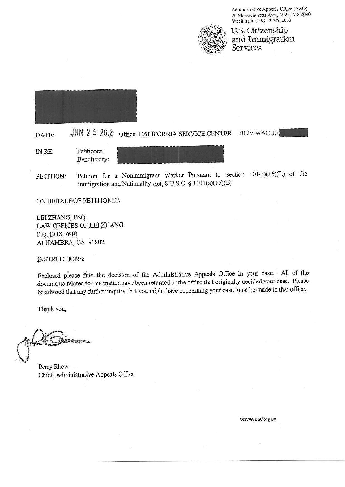Administrative Appeals Office (AAO) 20 Massachusetts Ave., N.W., MS 2090 Washington, DC 20529-2090



U.S. Citizenship and Immigration<br>Services



## JUN 2 9 2012 Office: CALIFORNIA SERVICE CENTER FILE: WAC 10 DATE:

Petitioner: IN RE: Beneficiary:

Petition for a Nonimmigrant Worker Pursuant to Section 101(a)(15)(L) of the PETITION: Immigration and Nationality Act, 8 U.S.C. § 1101(a)(15)(L)

ON BEHALF OF PETITIONER:

LEI ZHANG, ESQ. LAW OFFICES OF LEI ZHANG P.O. BOX 7610 ALHAMBRA, CA 91802

**INSTRUCTIONS:** 

Enclosed please find the decision of the Administrative Appeals Office in your case. All of the documents related to this matter have been returned to the office that originally decided your case. Please be advised that any further inquiry that you might have concerning your case must be made to that office.

Thank you,

Perry Rhew Chief, Administrative Appeals Office

www.uscis.gov